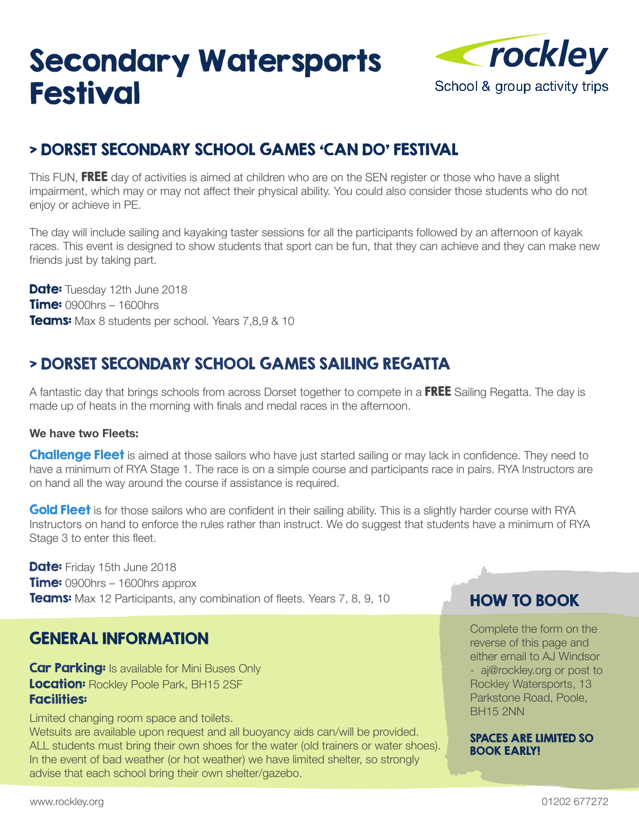## Secondary Watersports Festival



### > DORSET SECONDARY SCHOOL GAMES 'CAN DO' FESTIVAL

This FUN, FREE day of activities is aimed at children who are on the SEN register or those who have a slight impairment, which may or may not affect their physical ability. You could also consider those students who do not enjoy or achieve in PE.

The day will include sailing and kayaking taster sessions for all the participants followed by an afternoon of kayak races. This event is designed to show students that sport can be fun, that they can achieve and they can make new friends just by taking part.

Date: Tuesday 12th June 2018 **Time: 0900hrs – 1600hrs** Teams: Max 8 students per school. Years 7,8,9 & 10

#### > DORSET SECONDARY SCHOOL GAMES SAILING REGATTA

A fantastic day that brings schools from across Dorset together to compete in a FREE Sailing Regatta. The day is made up of heats in the morning with finals and medal races in the afternoon.

#### **We have two Fleets:**

**Challenge Fleet** is aimed at those sailors who have just started sailing or may lack in confidence. They need to have a minimum of RYA Stage 1. The race is on a simple course and participants race in pairs. RYA Instructors are on hand all the way around the course if assistance is required.

Gold Fleet is for those sailors who are confident in their sailing ability. This is a slightly harder course with RYA Instructors on hand to enforce the rules rather than instruct. We do suggest that students have a minimum of RYA Stage 3 to enter this fleet.

**Date:** Friday 15th June 2018 **Time:** 0900hrs – 1600hrs approx **Teams:** Max 12 Participants, any combination of fleets. Years 7, 8, 9, 10

#### GENERAL INFORMATION

**Car Parking:** Is available for Mini Buses Only Location: Rockley Poole Park, BH15 2SF Facilities:

Limited changing room space and toilets.

Wetsuits are available upon request and all buoyancy aids can/will be provided. ALL students must bring their own shoes for the water (old trainers or water shoes). In the event of bad weather (or hot weather) we have limited shelter, so strongly advise that each school bring their own shelter/gazebo.

#### HOW TO BOOK

Complete the form on the reverse of this page and either email to AJ Windsor - aj@rockley.org or post to Rockley Watersports, 13 Parkstone Road, Poole, BH15 2NN

SPACES ARE LIMITED SO BOOK EARLY!